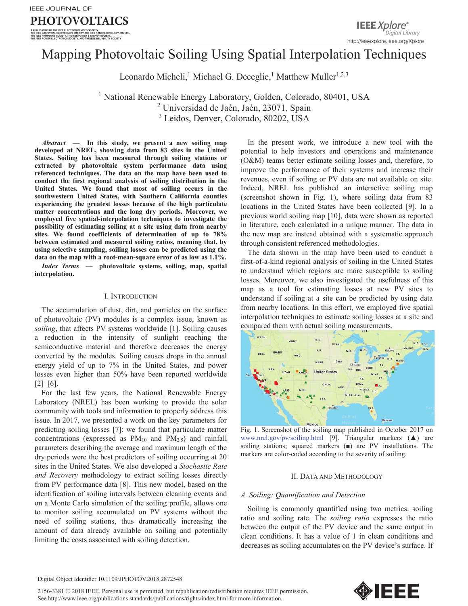**PHOTOVOLTAICS** S SOCIETY, THE IEEE NANOTECHNOLOGY CONTROL BE POWER & ENERGY SOCIETY,<br>IEEE POWER & ENERGY SOCIETY,<br>CIETY, AND THE IEEE RELIABILITY SOCIETY

# Mapping Photovoltaic Soiling Using Spatial Interpolation Techniques

Leonardo Micheli,<sup>1</sup> Michael G. Deceglie,<sup>1</sup> Matthew Muller<sup>1,2,3</sup>

<sup>1</sup> National Renewable Energy Laboratory, Golden, Colorado, 80401, USA 2 Universidad de Jaén, Jaén, 23071, Spain 3 Leidos, Denver, Colorado, 80202, USA

Abstract  $-$  In this study, we present a new soiling map **developed at NREL, showing data from 83 sites in the United States. Soiling has been measured through soiling stations or extracted by photovoltaic system performance data using referenced techniques. The data on the map have been used to conduct the first regional analysis of soiling distribution in the United States. We found that most of soiling occurs in the southwestern United States, with Southern California counties experiencing the greatest losses because of the high particulate matter concentrations and the long dry periods. Moreover, we employed five spatial-interpolation techniques to investigate the possibility of estimating soiling at a site using data from nearby sites. We found coefficients of determination of up to 78% between estimated and measured soiling ratios, meaning that, by using selective sampling, soiling losses can be predicted using the data on the map with a root-mean-square error of as low as 1.1%.**  *Index Terms* — photovoltaic systems, soiling, map, spatial

**interpolation.** 

## I. INTRODUCTION

The accumulation of dust, dirt, and particles on the surface of photovoltaic (PV) modules is a complex issue, known as *soiling*, that affects PV systems worldwide [1]. Soiling causes a reduction in the intensity of sunlight reaching the semiconductive material and therefore decreases the energy converted by the modules. Soiling causes drops in the annual energy yield of up to 7% in the United States, and power losses even higher than 50% have been reported worldwide  $[2]$ – $[6]$ .

For the last few years, the National Renewable Energy Laboratory (NREL) has been working to provide the solar community with tools and information to properly address this issue. In 2017, we presented a work on the key parameters for predicting soiling losses [7]: we found that particulate matter concentrations (expressed as  $PM_{10}$  and  $PM_{2.5}$ ) and rainfall parameters describing the average and maximum length of the dry periods were the best predictors of soiling occurring at 20 sites in the United States. We also developed a *Stochastic Rate and Recovery* methodology to extract soiling losses directly from PV performance data [8]. This new model, based on the identification of soiling intervals between cleaning events and on a Monte Carlo simulation of the soiling profile, allows one to monitor soiling accumulated on PV systems without the need of soiling stations, thus dramatically increasing the amount of data already available on soiling and potentially limiting the costs associated with soiling detection.

In the present work, we introduce a new tool with the potential to help investors and operations and maintenance (O&M) teams better estimate soiling losses and, therefore, to improve the performance of their systems and increase their revenues, even if soiling or PV data are not available on site. Indeed, NREL has published an interactive soiling map (screenshot shown in Fig. 1), where soiling data from 83 locations in the United States have been collected [9]. In a previous world soiling map [10], data were shown as reported in literature, each calculated in a unique manner. The data in the new map are instead obtained with a systematic approach through consistent referenced methodologies.

The data shown in the map have been used to conduct a first-of-a-kind regional analysis of soiling in the United States to understand which regions are more susceptible to soiling losses. Moreover, we also investigated the usefulness of this map as a tool for estimating losses at new PV sites to understand if soiling at a site can be predicted by using data from nearby locations. In this effort, we employed five spatial interpolation techniques to estimate soiling losses at a site and compared them with actual soiling measurements.



Fig. 1. Screenshot of the soiling map published in October 2017 on www.nrel.gov/pv/soiling.html [9]. Triangular markers  $(\triangle)$  are soiling stations; squared markers  $(\blacksquare)$  are PV installations. The markers are color-coded according to the severity of soiling.

# II. DATA AND METHODOLOGY

# *A. Soiling: Quantification and Detection*

Soiling is commonly quantified using two metrics: soiling ratio and soiling rate. The *soiling ratio* expresses the ratio between the output of the PV device and the same output in clean conditions. It has a value of 1 in clean conditions and decreases as soiling accumulates on the PV device's surface. If

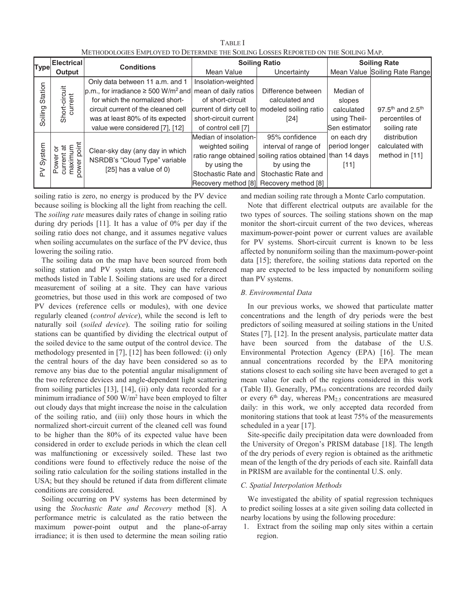| <b>Type</b>        | <b>Electrical</b>                                | <b>Conditions</b>                                                                            |                          | <b>Soiling Ratio</b>                                      | <b>Soiling Rate</b> |                                          |
|--------------------|--------------------------------------------------|----------------------------------------------------------------------------------------------|--------------------------|-----------------------------------------------------------|---------------------|------------------------------------------|
|                    | Output                                           |                                                                                              | Mean Value               | Uncertainty                                               |                     | Mean Value Soiling Rate Range            |
| Station<br>Soiling | Short-circuit<br>current                         | Only data between 11 a.m. and 1                                                              | Insolation-weighted      |                                                           |                     |                                          |
|                    |                                                  | $ p.m.,$ for irradiance $\geq 500$ W/m <sup>2</sup> and mean of daily ratios                 |                          | Difference between                                        | Median of           |                                          |
|                    |                                                  | for which the normalized short-                                                              | of short-circuit         | calculated and                                            | slopes              |                                          |
|                    |                                                  | circuit current of the cleaned cell                                                          | current of dirty cell to | modeled soiling ratio                                     | calculated          | 97.5 <sup>th</sup> and 2.5 <sup>th</sup> |
|                    |                                                  | was at least 80% of its expected                                                             | short-circuit current    | [24]                                                      | using Theil-        | percentiles of                           |
|                    |                                                  | value were considered [7], [12]                                                              | of control cell [7]      |                                                           | Sen estimator       | soiling rate                             |
| System<br>≳        | Power or<br>current at<br>maximum<br>power point |                                                                                              | Median of insolation-    | 95% confidence                                            | on each dry         | distribution                             |
|                    |                                                  | Clear-sky day (any day in which<br>NSRDB's "Cloud Type" variable<br>$[25]$ has a value of 0) | weighted soiling         | interval of range of                                      | period longer       | calculated with                          |
|                    |                                                  |                                                                                              |                          | ratio range obtained soiling ratios obtained than 14 days |                     | method in [11]                           |
|                    |                                                  |                                                                                              | by using the             | by using the                                              | [11]                |                                          |
|                    |                                                  |                                                                                              | Stochastic Rate and      | Stochastic Rate and                                       |                     |                                          |
|                    |                                                  |                                                                                              |                          | Recovery method [8] Recovery method [8]                   |                     |                                          |

TABLE I METHODOLOGIES EMPLOYED TO DETERMINE THE SOILING LOSSES REPORTED ON THE SOILING MAP.

soiling ratio is zero, no energy is produced by the PV device because soiling is blocking all the light from reaching the cell. The *soiling rate* measures daily rates of change in soiling ratio during dry periods [11]. It has a value of 0% per day if the soiling ratio does not change, and it assumes negative values when soiling accumulates on the surface of the PV device, thus lowering the soiling ratio.

The soiling data on the map have been sourced from both soiling station and PV system data, using the referenced methods listed in Table I. Soiling stations are used for a direct measurement of soiling at a site. They can have various geometries, but those used in this work are composed of two PV devices (reference cells or modules), with one device regularly cleaned (*control device*), while the second is left to naturally soil (*soiled device*). The soiling ratio for soiling stations can be quantified by dividing the electrical output of the soiled device to the same output of the control device. The methodology presented in [7], [12] has been followed: (i) only the central hours of the day have been considered so as to remove any bias due to the potential angular misalignment of the two reference devices and angle-dependent light scattering from soiling particles [13], [14], (ii) only data recorded for a minimum irradiance of 500 W/m<sup>2</sup> have been employed to filter out cloudy days that might increase the noise in the calculation of the soiling ratio, and (iii) only those hours in which the normalized short-circuit current of the cleaned cell was found to be higher than the 80% of its expected value have been considered in order to exclude periods in which the clean cell was malfunctioning or excessively soiled. These last two conditions were found to effectively reduce the noise of the soiling ratio calculation for the soiling stations installed in the USA; but they should be retuned if data from different climate conditions are considered.

Soiling occurring on PV systems has been determined by using the *Stochastic Rate and Recovery* method [8]. A performance metric is calculated as the ratio between the maximum power-point output and the plane-of-array irradiance; it is then used to determine the mean soiling ratio and median soiling rate through a Monte Carlo computation.

Note that different electrical outputs are available for the two types of sources. The soiling stations shown on the map monitor the short-circuit current of the two devices, whereas maximum-power-point power or current values are available for PV systems. Short-circuit current is known to be less affected by nonuniform soiling than the maximum-power-point data [15]; therefore, the soiling stations data reported on the map are expected to be less impacted by nonuniform soiling than PV systems.

## *B. Environmental Data*

In our previous works, we showed that particulate matter concentrations and the length of dry periods were the best predictors of soiling measured at soiling stations in the United States [7], [12]. In the present analysis, particulate matter data have been sourced from the database of the U.S. Environmental Protection Agency (EPA) [16]. The mean annual concentrations recorded by the EPA monitoring stations closest to each soiling site have been averaged to get a mean value for each of the regions considered in this work (Table II). Generally, PM<sub>10</sub> concentrations are recorded daily or every  $6<sup>th</sup>$  day, whereas  $PM<sub>2.5</sub>$  concentrations are measured daily: in this work, we only accepted data recorded from monitoring stations that took at least 75% of the measurements scheduled in a year [17].

Site-specific daily precipitation data were downloaded from the University of Oregon's PRISM database [18]. The length of the dry periods of every region is obtained as the arithmetic mean of the length of the dry periods of each site. Rainfall data in PRISM are available for the continental U.S. only.

# *C. Spatial Interpolation Methods*

We investigated the ability of spatial regression techniques to predict soiling losses at a site given soiling data collected in nearby locations by using the following procedure:

1. Extract from the soiling map only sites within a certain region.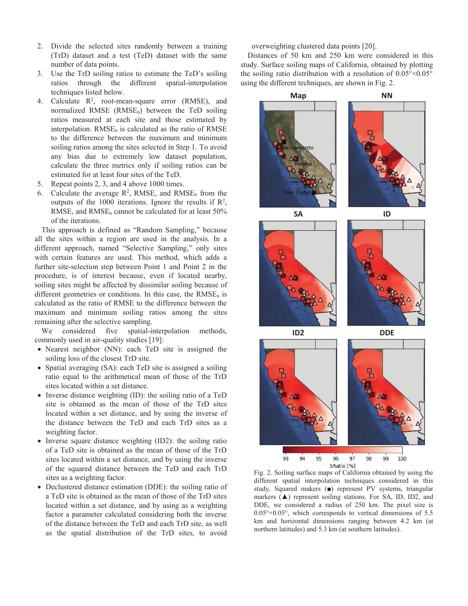- 2. Divide the selected sites randomly between a training (TrD) dataset and a test (TeD) dataset with the same number of data points.
- 3. Use the TrD soiling ratios to estimate the TeD's soiling ratios through the different spatial-interpolation techniques listed below.
- 4. Calculate  $R^2$ , root-mean-square error (RMSE), and normalized RMSE  $(RMSE<sub>n</sub>)$  between the TeD soiling ratios measured at each site and those estimated by interpolation.  $RMSE<sub>n</sub>$  is calculated as the ratio of RMSE to the difference between the maximum and minimum soiling ratios among the sites selected in Step 1. To avoid any bias due to extremely low dataset population, calculate the three metrics only if soiling ratios can be estimated for at least four sites of the TeD.
- 5. Repeat points 2, 3, and 4 above 1000 times.
- 6. Calculate the average  $\mathbb{R}^2$ , RMSE, and RMSE<sub>n</sub> from the outputs of the 1000 iterations. Ignore the results if  $\mathbb{R}^2$ , RMSE, and RMSE<sub>n</sub> cannot be calculated for at least 50% of the iterations.

This approach is defined as "Random Sampling," because all the sites within a region are used in the analysis. In a different approach, named "Selective Sampling," only sites with certain features are used. This method, which adds a further site-selection step between Point 1 and Point 2 in the procedure, is of interest because, even if located nearby, soiling sites might be affected by dissimilar soiling because of different geometries or conditions. In this case, the  $RMSE<sub>n</sub>$  is calculated as the ratio of RMSE to the difference between the maximum and minimum soiling ratios among the sites remaining after the selective sampling.

We considered five spatial-interpolation methods, commonly used in air-quality studies [19]:

- Nearest neighbor (NN): each TeD site is assigned the soiling loss of the closest TrD site.
- Spatial averaging (SA): each TeD site is assigned a soiling ratio equal to the arithmetical mean of those of the TrD sites located within a set distance.
- Inverse distance weighting (ID): the soiling ratio of a TeD site is obtained as the mean of those of the TrD sites located within a set distance, and by using the inverse of the distance between the TeD and each TrD sites as a weighting factor.
- Inverse square distance weighting (ID2): the soiling ratio of a TeD site is obtained as the mean of those of the TrD sites located within a set distance, and by using the inverse of the squared distance between the TeD and each TrD sites as a weighting factor.
- Declustered distance estimation (DDE): the soiling ratio of a TeD site is obtained as the mean of those of the TrD sites located within a set distance, and by using as a weighting factor a parameter calculated considering both the inverse of the distance between the TeD and each TrD site, as well as the spatial distribution of the TrD sites, to avoid

overweighting clustered data points [20].

Distances of 50 km and 250 km were considered in this study. Surface soiling maps of California, obtained by plotting the soiling ratio distribution with a resolution of  $0.05^{\circ} \times 0.05^{\circ}$ using the different techniques, are shown in Fig. 2.



different spatial interpolation techniques considered in this study. Squared makers  $(\blacksquare)$  represent PV systems, triangular markers  $(\triangle)$  represent soiling stations. For SA, ID, ID2, and DDE, we considered a radius of 250 km. The pixel size is  $0.05^{\circ} \times 0.05^{\circ}$ , which corresponds to vertical dimensions of 5.5 km and horizontal dimensions ranging between 4.2 km (at northern latitudes) and 5.3 km (at southern latitudes).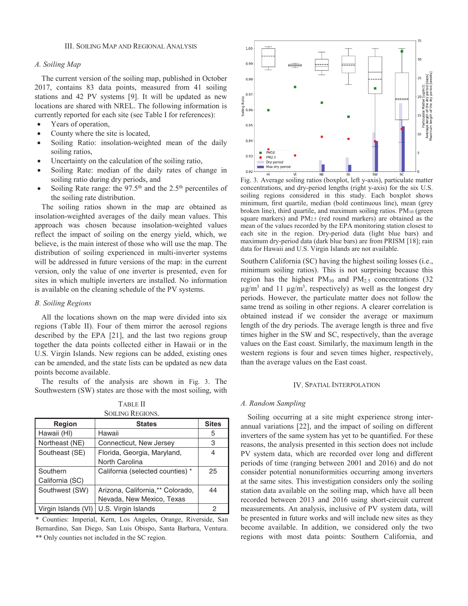## III. SOILING MAP AND REGIONAL ANALYSIS

## *A. Soiling Map*

The current version of the soiling map, published in October 2017, contains 83 data points, measured from 41 soiling stations and 42 PV systems [9]. It will be updated as new locations are shared with NREL. The following information is currently reported for each site (see Table I for references):

- Years of operation,
- County where the site is located,
- Soiling Ratio: insolation-weighted mean of the daily soiling ratios,
- Uncertainty on the calculation of the soiling ratio,
- Soiling Rate: median of the daily rates of change in soiling ratio during dry periods, and
- Soiling Rate range: the  $97.5<sup>th</sup>$  and the 2.5<sup>th</sup> percentiles of the soiling rate distribution.

The soiling ratios shown in the map are obtained as insolation-weighted averages of the daily mean values. This approach was chosen because insolation-weighted values reflect the impact of soiling on the energy yield, which, we believe, is the main interest of those who will use the map. The distribution of soiling experienced in multi-inverter systems will be addressed in future versions of the map: in the current version, only the value of one inverter is presented, even for sites in which multiple inverters are installed. No information is available on the cleaning schedule of the PV systems.

## *B. Soiling Regions*

All the locations shown on the map were divided into six regions (Table II). Four of them mirror the aerosol regions described by the EPA [21], and the last two regions group together the data points collected either in Hawaii or in the U.S. Virgin Islands. New regions can be added, existing ones can be amended, and the state lists can be updated as new data points become available.

The results of the analysis are shown in Fig. 3. The Southwestern (SW) states are those with the most soiling, with

| <b>SOILING REGIONS.</b> |                                  |              |  |  |  |  |
|-------------------------|----------------------------------|--------------|--|--|--|--|
| <b>Region</b>           | <b>States</b>                    | <b>Sites</b> |  |  |  |  |
| Hawaii (HI)             | Hawaii                           | 5            |  |  |  |  |
| Northeast (NE)          | Connecticut, New Jersey          | 3            |  |  |  |  |
| Southeast (SE)          | Florida, Georgia, Maryland,      | 4            |  |  |  |  |
|                         | North Carolina                   |              |  |  |  |  |
| Southern                | California (selected counties) * | 25           |  |  |  |  |
| California (SC)         |                                  |              |  |  |  |  |
| Southwest (SW)          | Arizona, California,** Colorado, | 44           |  |  |  |  |
|                         | Nevada, New Mexico, Texas        |              |  |  |  |  |
| Virgin Islands (VI) I   | U.S. Virgin Islands              | 2            |  |  |  |  |

TABLE II

\* Counties: Imperial, Kern, Los Angeles, Orange, Riverside, San Bernardino, San Diego, San Luis Obispo, Santa Barbara, Ventura. \*\* Only counties not included in the SC region.



Fig. 3. Average soiling ratios (boxplot, left y-axis), particulate matter concentrations, and dry-period lengths (right y-axis) for the six U.S. soiling regions considered in this study. Each boxplot shows minimum, first quartile, median (bold continuous line), mean (grey broken line), third quartile, and maximum soiling ratios. PM10 (green square markers) and PM2.5 (red round markers) are obtained as the mean of the values recorded by the EPA monitoring station closest to each site in the region. Dry-period data (light blue bars) and maximum dry-period data (dark blue bars) are from PRISM [18]; rain data for Hawaii and U.S. Virgin Islands are not available.

Southern California (SC) having the highest soiling losses (i.e., minimum soiling ratios). This is not surprising because this region has the highest  $PM_{10}$  and  $PM_{2.5}$  concentrations (32  $\mu$ g/m<sup>3</sup> and 11  $\mu$ g/m<sup>3</sup>, respectively) as well as the longest dry periods. However, the particulate matter does not follow the same trend as soiling in other regions. A clearer correlation is obtained instead if we consider the average or maximum length of the dry periods. The average length is three and five times higher in the SW and SC, respectively, than the average values on the East coast. Similarly, the maximum length in the western regions is four and seven times higher, respectively, than the average values on the East coast.

#### IV. SPATIAL INTERPOLATION

#### *A. Random Sampling*

Soiling occurring at a site might experience strong interannual variations [22], and the impact of soiling on different inverters of the same system has yet to be quantified. For these reasons, the analysis presented in this section does not include PV system data, which are recorded over long and different periods of time (ranging between 2001 and 2016) and do not consider potential nonuniformities occurring among inverters at the same sites. This investigation considers only the soiling station data available on the soiling map, which have all been recorded between 2013 and 2016 using short-circuit current measurements. An analysis, inclusive of PV system data, will be presented in future works and will include new sites as they become available. In addition, we considered only the two regions with most data points: Southern California, and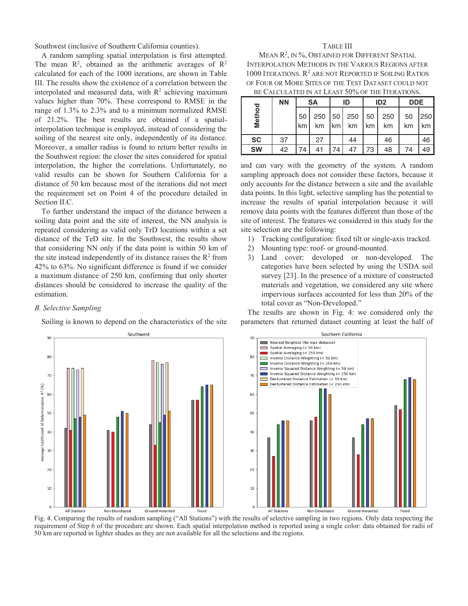Southwest (inclusive of Southern California counties).

A random sampling spatial interpolation is first attempted. The mean  $\mathbb{R}^2$ , obtained as the arithmetic averages of  $\mathbb{R}^2$ calculated for each of the 1000 iterations, are shown in Table III. The results show the existence of a correlation between the interpolated and measured data, with  $R<sup>2</sup>$  achieving maximum values higher than 70%. These correspond to RMSE in the range of 1.3% to 2.3% and to a minimum normalized RMSE of 21.2%. The best results are obtained if a spatialinterpolation technique is employed, instead of considering the soiling of the nearest site only, independently of its distance. Moreover, a smaller radius is found to return better results in the Southwest region: the closer the sites considered for spatial interpolation, the higher the correlations. Unfortunately, no valid results can be shown for Southern California for a distance of 50 km because most of the iterations did not meet the requirement set on Point 4 of the procedure detailed in Section II.C.

To further understand the impact of the distance between a soiling data point and the site of interest, the NN analysis is repeated considering as valid only TrD locations within a set distance of the TeD site. In the Southwest, the results show that considering NN only if the data point is within 50 km of the site instead independently of its distance raises the  $\mathbb{R}^2$  from 42% to 63%. No significant difference is found if we consider a maximum distance of 250 km, confirming that only shorter distances should be considered to increase the quality of the estimation.

## *B. Selective Sampling*

Soiling is known to depend on the characteristics of the site



MEAN  $R^2$ , IN %, OBTAINED FOR DIFFERENT SPATIAL INTERPOLATION METHODS IN THE VARIOUS REGIONS AFTER  $1000$  ITERATIONS.  $R^2$  ARE NOT REPORTED IF SOILING RATIOS OF FOUR OR MORE SITES OF THE TEST DATASET COULD NOT BE CALCULATED IN AT LEAST 50% OF THE ITERATIONS.

|               | <b>NN</b> | <b>SA</b> |           | ID           |           | ID <sub>2</sub> |           | <b>DDE</b> |           |
|---------------|-----------|-----------|-----------|--------------|-----------|-----------------|-----------|------------|-----------|
| <b>Method</b> |           | 50<br>km  | 250<br>km | 50 <br>lkm l | 250<br>km | 50<br>km        | 250<br>km | 50<br>km   | 250<br>km |
| <b>SC</b>     | 37        |           | 27        |              | 44        |                 | 46        |            | 46        |
| <b>SW</b>     | 42        | 74        | 41        | 74           | 47        | 73              | 48        | 74         | 49        |

and can vary with the geometry of the system. A random sampling approach does not consider these factors, because it only accounts for the distance between a site and the available data points. In this light, selective sampling has the potential to increase the results of spatial interpolation because it will remove data points with the features different than those of the site of interest. The features we considered in this study for the site selection are the following:

- 1) Tracking configuration: fixed tilt or single-axis tracked.
- 2) Mounting type: roof- or ground-mounted.
- 3) Land cover: developed or non-developed. The categories have been selected by using the USDA soil survey [23]. In the presence of a mixture of constructed materials and vegetation, we considered any site where impervious surfaces accounted for less than 20% of the total cover as "Non-Developed."

The results are shown in Fig. 4: we considered only the parameters that returned dataset counting at least the half of





Fig. 4. Comparing the results of random sampling ("All Stations") with the results of selective sampling in two regions. Only data respecting the requirement of Step 6 of the procedure are shown. Each spatial interpolation method is reported using a single color: data obtained for radii of 50 km are reported in lighter shades as they are not available for all the selections and the regions.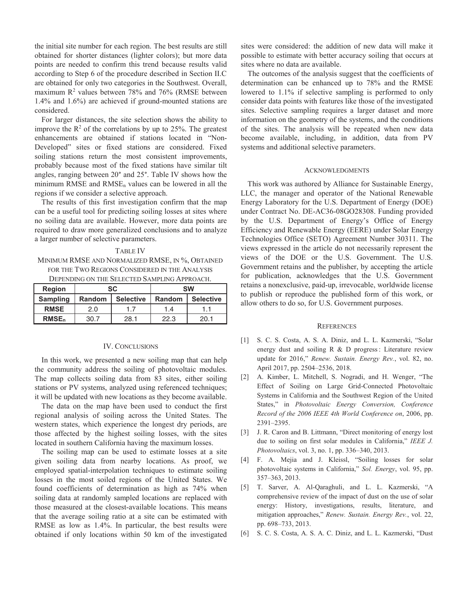the initial site number for each region. The best results are still obtained for shorter distances (lighter colors); but more data points are needed to confirm this trend because results valid according to Step 6 of the procedure described in Section II.C are obtained for only two categories in the Southwest. Overall, maximum  $\mathbb{R}^2$  values between 78% and 76% (RMSE between 1.4% and 1.6%) are achieved if ground-mounted stations are considered.

For larger distances, the site selection shows the ability to improve the  $\mathbb{R}^2$  of the correlations by up to 25%. The greatest enhancements are obtained if stations located in "Non-Developed" sites or fixed stations are considered. Fixed soiling stations return the most consistent improvements, probably because most of the fixed stations have similar tilt angles, ranging between 20° and 25°. Table IV shows how the minimum RMSE and RMSEn values can be lowered in all the regions if we consider a selective approach.

The results of this first investigation confirm that the map can be a useful tool for predicting soiling losses at sites where no soiling data are available. However, more data points are required to draw more generalized conclusions and to analyze a larger number of selective parameters.

TABLE IV MINIMUM RMSE AND NORMALIZED RMSE, IN %, OBTAINED FOR THE TWO REGIONS CONSIDERED IN THE ANALYSIS DEPENDING ON THE SELECTED SAMPLING APPROACH.

| Region            |               | SC               | <b>SW</b> |                  |  |
|-------------------|---------------|------------------|-----------|------------------|--|
| <b>Sampling</b>   | <b>Random</b> | <b>Selective</b> | Random    | <b>Selective</b> |  |
| <b>RMSE</b>       | $2.0^{\circ}$ |                  | 1.4       |                  |  |
| RMSE <sub>n</sub> | 30.7          | 28.1             | 22.3      | 20.1             |  |

#### IV. CONCLUSIONS

In this work, we presented a new soiling map that can help the community address the soiling of photovoltaic modules. The map collects soiling data from 83 sites, either soiling stations or PV systems, analyzed using referenced techniques; it will be updated with new locations as they become available.

The data on the map have been used to conduct the first regional analysis of soiling across the United States. The western states, which experience the longest dry periods, are those affected by the highest soiling losses, with the sites located in southern California having the maximum losses.

The soiling map can be used to estimate losses at a site given soiling data from nearby locations. As proof, we employed spatial-interpolation techniques to estimate soiling losses in the most soiled regions of the United States. We found coefficients of determination as high as 74% when soiling data at randomly sampled locations are replaced with those measured at the closest-available locations. This means that the average soiling ratio at a site can be estimated with RMSE as low as 1.4%. In particular, the best results were obtained if only locations within 50 km of the investigated

sites were considered: the addition of new data will make it possible to estimate with better accuracy soiling that occurs at sites where no data are available.

The outcomes of the analysis suggest that the coefficients of determination can be enhanced up to 78% and the RMSE lowered to 1.1% if selective sampling is performed to only consider data points with features like those of the investigated sites. Selective sampling requires a larger dataset and more information on the geometry of the systems, and the conditions of the sites. The analysis will be repeated when new data become available, including, in addition, data from PV systems and additional selective parameters.

### **ACKNOWLEDGMENTS**

This work was authored by Alliance for Sustainable Energy, LLC, the manager and operator of the National Renewable Energy Laboratory for the U.S. Department of Energy (DOE) under Contract No. DE-AC36-08GO28308. Funding provided by the U.S. Department of Energy's Office of Energy Efficiency and Renewable Energy (EERE) under Solar Energy Technologies Office (SETO) Agreement Number 30311. The views expressed in the article do not necessarily represent the views of the DOE or the U.S. Government. The U.S. Government retains and the publisher, by accepting the article for publication, acknowledges that the U.S. Government retains a nonexclusive, paid-up, irrevocable, worldwide license to publish or reproduce the published form of this work, or allow others to do so, for U.S. Government purposes.

#### **REFERENCES**

- [1] S. C. S. Costa, A. S. A. Diniz, and L. L. Kazmerski, "Solar energy dust and soiling R & D progress: Literature review update for 2016," *Renew. Sustain. Energy Rev.*, vol. 82, no. April 2017, pp. 2504–2536, 2018.
- [2] A. Kimber, L. Mitchell, S. Nogradi, and H. Wenger, "The Effect of Soiling on Large Grid-Connected Photovoltaic Systems in California and the Southwest Region of the United States," in *Photovoltaic Energy Conversion, Conference Record of the 2006 IEEE 4th World Conference on*, 2006, pp. 2391–2395.
- [3] J. R. Caron and B. Littmann, "Direct monitoring of energy lost due to soiling on first solar modules in California," *IEEE J. Photovoltaics*, vol. 3, no. 1, pp. 336–340, 2013.
- [4] F. A. Mejia and J. Kleissl, "Soiling losses for solar photovoltaic systems in California," *Sol. Energy*, vol. 95, pp. 357–363, 2013.
- [5] T. Sarver, A. Al-Qaraghuli, and L. L. Kazmerski, "A comprehensive review of the impact of dust on the use of solar energy: History, investigations, results, literature, and mitigation approaches," *Renew. Sustain. Energy Rev.*, vol. 22, pp. 698–733, 2013.
- [6] S. C. S. Costa, A. S. A. C. Diniz, and L. L. Kazmerski, "Dust